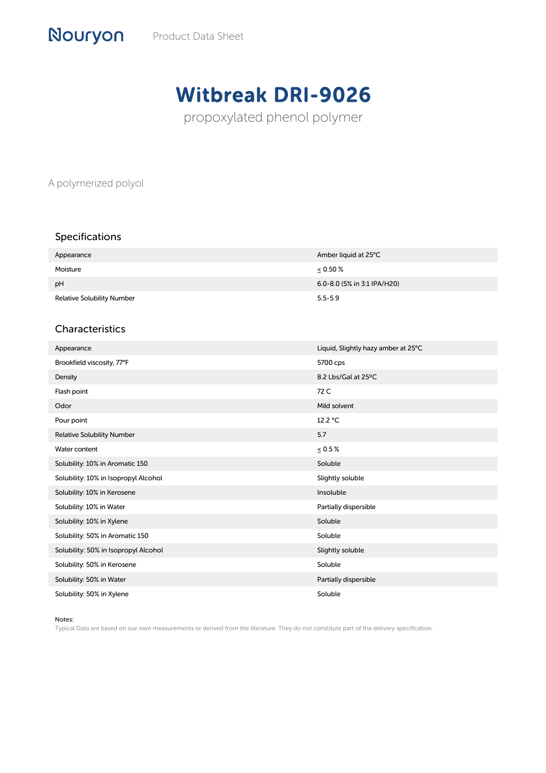# Witbreak DRI-9026

propoxylated phenol polymer

A polymerized polyol

Nouryon

# Specifications

| Appearance                        | Amber liquid at 25°C        |
|-----------------------------------|-----------------------------|
| Moisture                          | $\leq 0.50 \%$              |
| pH                                | 6.0-8.0 (5% in 3:1 IPA/H20) |
| <b>Relative Solubility Number</b> | $5.5 - 5.9$                 |

## Characteristics

| Appearance                           | Liquid, Slightly hazy amber at 25°C |
|--------------------------------------|-------------------------------------|
| Brookfield viscosity, 77°F           | 5700 cps                            |
| Density                              | 8.2 Lbs/Gal at 25°C                 |
| Flash point                          | 72 C                                |
| Odor                                 | Mild solvent                        |
| Pour point                           | 12.2 °C                             |
| <b>Relative Solubility Number</b>    | 5.7                                 |
| Water content                        | $\leq 0.5\%$                        |
| Solubility: 10% in Aromatic 150      | Soluble                             |
| Solubility: 10% in Isopropyl Alcohol | Slightly soluble                    |
| Solubility: 10% in Kerosene          | Insoluble                           |
| Solubility: 10% in Water             | Partially dispersible               |
| Solubility: 10% in Xylene            | Soluble                             |
| Solubility: 50% in Aromatic 150      | Soluble                             |
| Solubility: 50% in Isopropyl Alcohol | Slightly soluble                    |
| Solubility: 50% in Kerosene          | Soluble                             |
| Solubility: 50% in Water             | Partially dispersible               |
| Solubility: 50% in Xylene            | Soluble                             |

Notes:

Typical Data are based on our own measurements or derived from the literature. They do not constitute part of the delivery specification.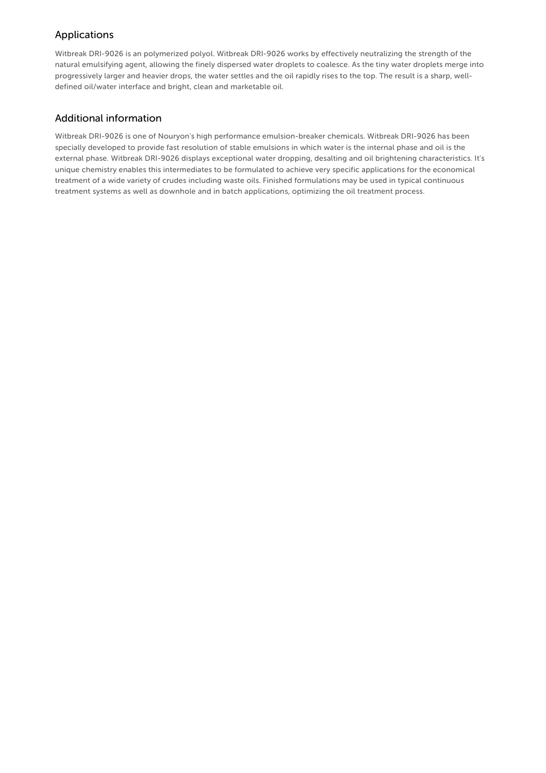# Applications

Witbreak DRI-9026 is an polymerized polyol. Witbreak DRI-9026 works by effectively neutralizing the strength of the natural emulsifying agent, allowing the finely dispersed water droplets to coalesce. As the tiny water droplets merge into progressively larger and heavier drops, the water settles and the oil rapidly rises to the top. The result is a sharp, welldefined oil/water interface and bright, clean and marketable oil.

#### Additional information

Witbreak DRI-9026 is one of Nouryon's high performance emulsion-breaker chemicals. Witbreak DRI-9026 has been specially developed to provide fast resolution of stable emulsions in which water is the internal phase and oil is the external phase. Witbreak DRI-9026 displays exceptional water dropping, desalting and oil brightening characteristics. It's unique chemistry enables this intermediates to be formulated to achieve very specific applications for the economical treatment of a wide variety of crudes including waste oils. Finished formulations may be used in typical continuous treatment systems as well as downhole and in batch applications, optimizing the oil treatment process.